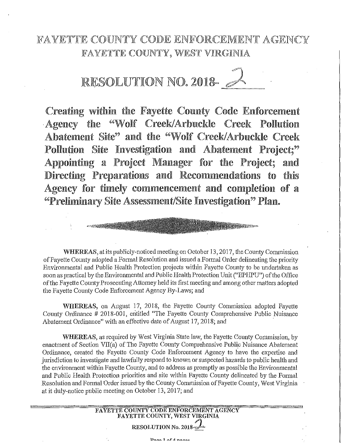## FAYETTE COUNTY CODE ENFORCEMENT AGENCY FAYETTE COUNTY, WEST VIRGINIA

RESOLUTION NO. 2018-

Creating within the Fayette County Code Enforcement "Wolf Creek/Arbuckle Creek Agency the Pollution Abatement Site" and the "Wolf Creek/Arbuckle Creek Pollution Site Investigation and Abatement Project;" Appointing a Project Manager for the Project; amd Directing Preparations and Recommendations to this Agency for timely commencement and completion of a "Preliminary Site Assessment/Site Investigation" Plan.

WHEREAS, at its publicly-noticed meeting on October 13, 2017, the County Commission of Fayette County adopted a Formal Resolution and issued a Formal Order delineating the priority Environmental and Public Health Protection projects within Fayette County to be undertaken as soon as practical by the Environmental and Public Health Protection Unit ("EPHPU") of the Office of the Fayette County Prosecuting Attorney held its first meeting and among other matters adopted the Fayette County Code Enforcement Agency By-Laws; and

WHEREAS, on August 17, 2018, the Fayette County Commission adopted Fayette County Ordinance # 2018-001, entitled "The Fayette County Comprehensive Public Nuisance Abatement Ordinance" with an effective date of August 17, 2018; and

**WHEREAS**, as required by West Virginia State law, the Fayette County Commission, by enactment of Section VII(a) of The Fayette County Comprehensive Public Nuisance Abatement Ordinance, created the Fayette County Code Enforcement Agency to have the expertise and jurisdiction to investigate and lawfully respond to known or suspected hazards to public health and the environment within Fayette County, and to address as promptly as possible the Environmental and Public Health Protection priorities and site within Fayette County delineated by the Formal Resolution and Formal Order issued by the County Commission of Fayette County, West Virginia at it duly-notice public meeting on October 13, 2017; and

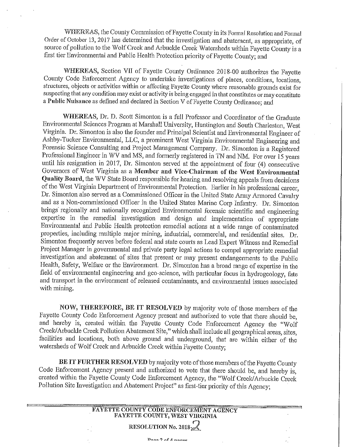WHEREAS, the County Commission of Fayette County in its Formal Resolution and Formal Order of October 13, 2017 has determined that the investigation and abatement, as appropriate, of source of pollution to the Wolf Creek and Arbuckle Creek Watersheds within Fayette County is a first tier Environmental and Public Health Protection priority of Fayette County; and

WHEREAS, Section VII of Fayette County Ordinance 2018-00 authorizes the Fayette County Code Enforcement Agency to undertake investigations of places, conditions, locations, structures, objects or activities within or affecting Fayette County where reasonable grounds exist for suspecting that any condition may exist or activity is being engaged in that constitutes or may constitute a Public Nuisance as defined and declared in Section V of Fayette County Ordinance; and

**WHEREAS,** Dr. D. Scott Simonton is a full Professor and Coordinator of the Graduate Enviromnental Sciences Program at Marshall University, Huntington and South Charleston, West Virginia. Dr. Simonton is also the founder and Principal Scientist and Environmental Engineer of Ashby-Tucker Environmental, LLC, a prominent West Virginia Environmental Engineering and Forensic Science Consulting and Project Management Company. Dr. Simonton is a Registered Professional Engineer in WV and MS, and fonnerly registered in 1N and NM. For over 15 years until his resignation in 2017, Dr. Simonton served at the appointment of four (4) consecutive Governors of West Virginia as a **Member and Vice-Chairman of the West Environmental Quality Board,** the WV State Board responsible for hearing and resolving appeals from decisions of the West Virginia Department of Enviromnental Protection. Earlier in his professional career, Dr. Simonton also served as a Commissioned Officer in the United State Army Armored Cavalry and as a Non-commissioned Officer in the United States Marine Corp Infantry. Dr. Simonton brings regionally and nationally recognized Environmental forensic scientific and engineering expertise in the remedial investigation and design and implementation of appropriate Environmental and Public Health protection remedial actions at a wide range of contaminated properties, including multiple major mining, industrial, commercial, and residential sites. Dr. Simonton frequently serves before federal and state courts as Lead Expert Witness and Remedial Project Manager in governmental and private party legal actions to compel appropriate remedial investigation and abatement of sites that present or may present endangerments to the Public Health, Safety, Welfare or the Environment. Dr. Simonton has a broad range of expertise in the field of environmental engineering and geo-science, with particular focus in hydrogeology, fate and transport in the environment of released contaminants, and environmental issues associated with mining.

**NOW, THEREFORE, BE IT RESOLVED** by majority vote of those members of the Fayette County Code Enforcement Agency present and authorized to vote that there should be, and hereby is, created within the Fayette County Code Enforcement Agency the "Wolf Creek/Arbuckle Creek Pollution Abatement Site," which shall include all geographical areas, sites, facilities and locations, both above ground and underground, that are within either of the watersheds of Wolf Creek and Arbuckle Creek within Fayette County;

**BE IT FURTHER RESOLVED** by majority vote of those members of the Fayette County Code Enforcement Agency present and authorized to vote that there should be, and hereby is, created within the Fayette County Code Enforcement Agency, the "Wolf Creek/Arbuckle Creek Pollution Site hwestigation and Abatement Project" as first-tier priority of this Agency;

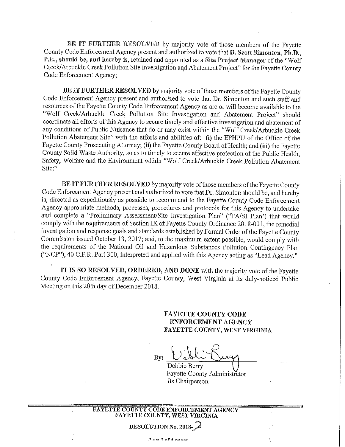BE IT FURTHER RESOLVED by majority vote of those members of the Fayette County Code Enforcement Agency present and authorized to vote that D. Scott Simonton, Ph.D., P.E., should be, and hereby is, retained and appointed as a Site Project Manager of the "Wolf Creek/Arbuckle Creek Pollution Site Investigation and Abatement Project" for the Fayette County Code Enforcement Agency;

**BE IT FURTHER RESOLVED** by majority vote of those members of the Fayette County Code Enforcement Agency present and authorized to vote that Dr. Simonton and such staff and resources of the Fayette County Code Enforcement Agency as are or will become available to the "Wolf Creek/Arbuckle Creek Pollution Site Investigation and Abatement Project" should coordinate all efforts of this Agency to secure timely and effective investigation and abatement of any conditions of Public Nuisance that do or may exist within the "Wolf Creek/ Arbuckle Creek Pollution Abatement Site" with the efforts and abilities of: (i) the EPHPU of the Office of the Fayette County Prosecuting Attorney; (ii) the Fayette County Board of Health; and (iii) the Fayette County Solid Waste Authority, so as *to* timely to secure effective protection of the Public Health, Safety, Welfare and the Environment within "Wolf Creek/Arbuckle Creek Pollution Abatement **Site;"** 

**BE IT FURTHER RESOLVED** by majority vote of those members of the Fayette County Code Enforcement Agency present and authorized to vote that Dr. Simonton should be, and hereby is, directed as expeditiously as possible to recommend to the Fayette County Code Enforcement Agency appropriate methods, processes, procedures and protocols for this Agency to undertake and complete a "Preliminary Assessment/Site Investigation Plan" ("PA/SI Plan') that would comply with the requirements of Section IX of Fayette County Ordinance 2018-001, the remedial investigation and response goals and standards established by Formal Order of the Fayette County Commission issued October 13, 2017; and, to the maximum extent possible, would comply with the requirements of the National Oil and Hazardous Substances Pollution Contingency Plan ("NCP"), 40 C.F.R. Part 300, interpreted and applied with this Agency acting as "Lead Agency."

**IT** IS **SO RESOLVED, ORDERED, AND DONE** with the majority vote of the Fayette County Code Enforcement Agency, Fayette County, West Virginia at its duly-noticed Public Meeting on this 20th day of December 2018.

> **FAYETTE COUNTY CODE ENFORCEMENT AGENCY FAYETTE COUNTY, WEST VIRGINIA**

 $B$ y: <u>Vebli  $K$ </u> Debbie Berry  $~\frac{1}{\sqrt{2}}$ 

Fayette C01mty Administrator Its Chairperson

**RESOLUTION No. 2018-2**